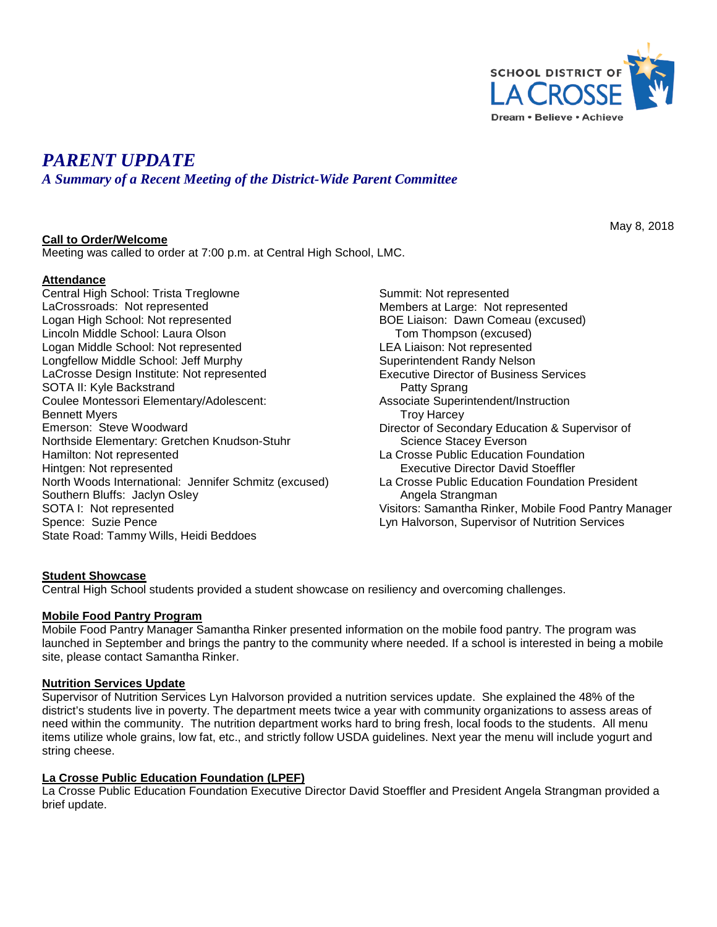

# *PARENT UPDATE*

*A Summary of a Recent Meeting of the District-Wide Parent Committee*

## **Call to Order/Welcome**

Meeting was called to order at 7:00 p.m. at Central High School, LMC.

## **Attendance**

Central High School: Trista Treglowne LaCrossroads: Not represented Logan High School: Not represented Lincoln Middle School: Laura Olson Logan Middle School: Not represented Longfellow Middle School: Jeff Murphy LaCrosse Design Institute: Not represented SOTA II: Kyle Backstrand Coulee Montessori Elementary/Adolescent: Bennett Myers Emerson: Steve Woodward Northside Elementary: Gretchen Knudson-Stuhr Hamilton: Not represented Hintgen: Not represented North Woods International: Jennifer Schmitz (excused) Southern Bluffs: Jaclyn Osley SOTA I: Not represented Spence: Suzie Pence State Road: Tammy Wills, Heidi Beddoes

Summit: Not represented Members at Large: Not represented BOE Liaison: Dawn Comeau (excused) Tom Thompson (excused) LEA Liaison: Not represented Superintendent Randy Nelson Executive Director of Business Services Patty Sprang Associate Superintendent/Instruction Troy Harcey Director of Secondary Education & Supervisor of Science Stacey Everson La Crosse Public Education Foundation Executive Director David Stoeffler La Crosse Public Education Foundation President Angela Strangman Visitors: Samantha Rinker, Mobile Food Pantry Manager Lyn Halvorson, Supervisor of Nutrition Services

# **Student Showcase**

Central High School students provided a student showcase on resiliency and overcoming challenges.

#### **Mobile Food Pantry Program**

Mobile Food Pantry Manager Samantha Rinker presented information on the mobile food pantry. The program was launched in September and brings the pantry to the community where needed. If a school is interested in being a mobile site, please contact Samantha Rinker.

#### **Nutrition Services Update**

Supervisor of Nutrition Services Lyn Halvorson provided a nutrition services update. She explained the 48% of the district's students live in poverty. The department meets twice a year with community organizations to assess areas of need within the community. The nutrition department works hard to bring fresh, local foods to the students. All menu items utilize whole grains, low fat, etc., and strictly follow USDA guidelines. Next year the menu will include yogurt and string cheese.

#### **La Crosse Public Education Foundation (LPEF)**

La Crosse Public Education Foundation Executive Director David Stoeffler and President Angela Strangman provided a brief update.

May 8, 2018